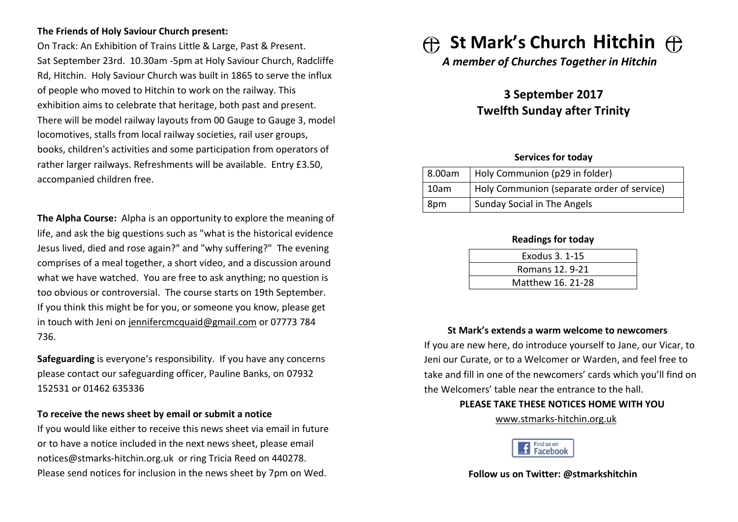#### **The Friends of Holy Saviour Church present:**

On Track: An Exhibition of Trains Little & Large, Past & Present. Sat September 23rd. 10.30am -5pm at Holy Saviour Church, Radcliffe Rd, Hitchin. Holy Saviour Church was built in 1865 to serve the influx of people who moved to Hitchin to work on the railway. This exhibition aims to celebrate that heritage, both past and present. There will be model railway layouts from 00 Gauge to Gauge 3, model locomotives, stalls from local railway societies, rail user groups, books, children's activities and some participation from operators of rather larger railways. Refreshments will be available. Entry £3.50, accompanied children free.

**The Alpha Course:** Alpha is an opportunity to explore the meaning of life, and ask the big questions such as "what is the historical evidence Jesus lived, died and rose again?" and "why suffering?" The evening comprises of a meal together, a short video, and a discussion around what we have watched. You are free to ask anything; no question is too obvious or controversial. The course starts on 19th September. If you think this might be for you, or someone you know, please get in touch with Jeni on jennifercmcquaid@gmail.com or 07773 784 736.

**Safeguarding** is everyone's responsibility. If you have any concerns please contact our safeguarding officer, Pauline Banks, on 07932 152531 or 01462 635336

#### **To receive the news sheet by email or submit a notice**

If you would like either to receive this news sheet via email in future or to have a notice included in the next news sheet, please email notices@stmarks-hitchin.org.uk or ring Tricia Reed on 440278. Please send notices for inclusion in the news sheet by 7pm on Wed.

# **St Mark's Church Hitchin**

*A member of Churches Together in Hitchin*

# **3 September 2017 Twelfth Sunday after Trinity**

#### **Services for today**

| 8.00am | Holy Communion (p29 in folder)             |
|--------|--------------------------------------------|
| 10am   | Holy Communion (separate order of service) |
| 8pm    | <b>Sunday Social in The Angels</b>         |

#### **Readings for today**

| Exodus 3, 1-15    |  |
|-------------------|--|
| Romans 12, 9-21   |  |
| Matthew 16. 21-28 |  |

#### **St Mark's extends a warm welcome to newcomers**

If you are new here, do introduce yourself to Jane, our Vicar, to Jeni our Curate, or to a Welcomer or Warden, and feel free to take and fill in one of the newcomers' cards which you'll find on the Welcomers' table near the entrance to the hall.

#### **PLEASE TAKE THESE NOTICES HOME WITH YOU**

[www.stmarks-hitchin.org.uk](http://www.stmarks-hitchin.org.uk/)



**Follow us on Twitter: @stmarkshitchin**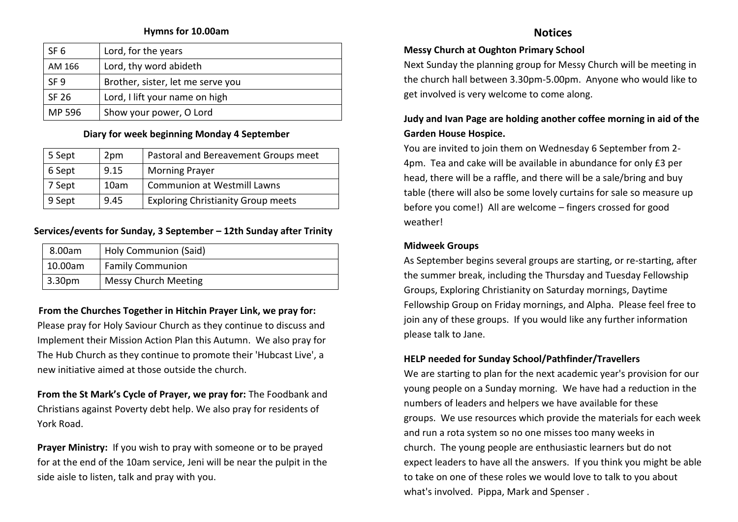#### **Hymns for 10.00am**

| SF <sub>6</sub> | Lord, for the years               |  |
|-----------------|-----------------------------------|--|
| AM 166          | Lord, thy word abideth            |  |
| SF <sub>9</sub> | Brother, sister, let me serve you |  |
| SF 26           | Lord, I lift your name on high    |  |
| MP 596          | Show your power, O Lord           |  |

#### **Diary for week beginning Monday 4 September**

| 5 Sept | 2pm  | Pastoral and Bereavement Groups meet      |
|--------|------|-------------------------------------------|
| 6 Sept | 9.15 | <b>Morning Prayer</b>                     |
| 7 Sept | 10am | <b>Communion at Westmill Lawns</b>        |
| 9 Sept | 9.45 | <b>Exploring Christianity Group meets</b> |

#### **Services/events for Sunday, 3 September – 12th Sunday after Trinity**

| Holy Communion (Said)<br>8.00am |                         |
|---------------------------------|-------------------------|
| 10.00am                         | <b>Family Communion</b> |
| 3.30 <sub>pm</sub>              | Messy Church Meeting    |

#### **From the Churches Together in Hitchin Prayer Link, we pray for:**

Please pray for Holy Saviour Church as they continue to discuss and Implement their Mission Action Plan this Autumn. We also pray for The Hub Church as they continue to promote their 'Hubcast Live', a new initiative aimed at those outside the church.

**From the St Mark's Cycle of Prayer, we pray for:** The Foodbank and Christians against Poverty debt help. We also pray for residents of York Road.

**Prayer Ministry:** If you wish to pray with someone or to be prayed for at the end of the 10am service, Jeni will be near the pulpit in the side aisle to listen, talk and pray with you.

### **Notices**

#### **Messy Church at Oughton Primary School**

Next Sunday the planning group for Messy Church will be meeting in the church hall between 3.30pm-5.00pm. Anyone who would like to get involved is very welcome to come along.

## **Judy and Ivan Page are holding another coffee morning in aid of the Garden House Hospice.**

You are invited to join them on Wednesday 6 September from 2- 4pm. Tea and cake will be available in abundance for only £3 per head, there will be a raffle, and there will be a sale/bring and buy table (there will also be some lovely curtains for sale so measure up before you come!) All are welcome – fingers crossed for good weather!

#### **Midweek Groups**

As September begins several groups are starting, or re-starting, after the summer break, including the Thursday and Tuesday Fellowship Groups, Exploring Christianity on Saturday mornings, Daytime Fellowship Group on Friday mornings, and Alpha. Please feel free to join any of these groups. If you would like any further information please talk to Jane.

#### **HELP needed for Sunday School/Pathfinder/Travellers**

We are starting to plan for the next academic year's provision for our young people on a Sunday morning. We have had a reduction in the numbers of leaders and helpers we have available for these groups. We use resources which provide the materials for each week and run a rota system so no one misses too many weeks in church. The young people are enthusiastic learners but do not expect leaders to have all the answers. If you think you might be able to take on one of these roles we would love to talk to you about what's involved. Pippa, Mark and Spenser .